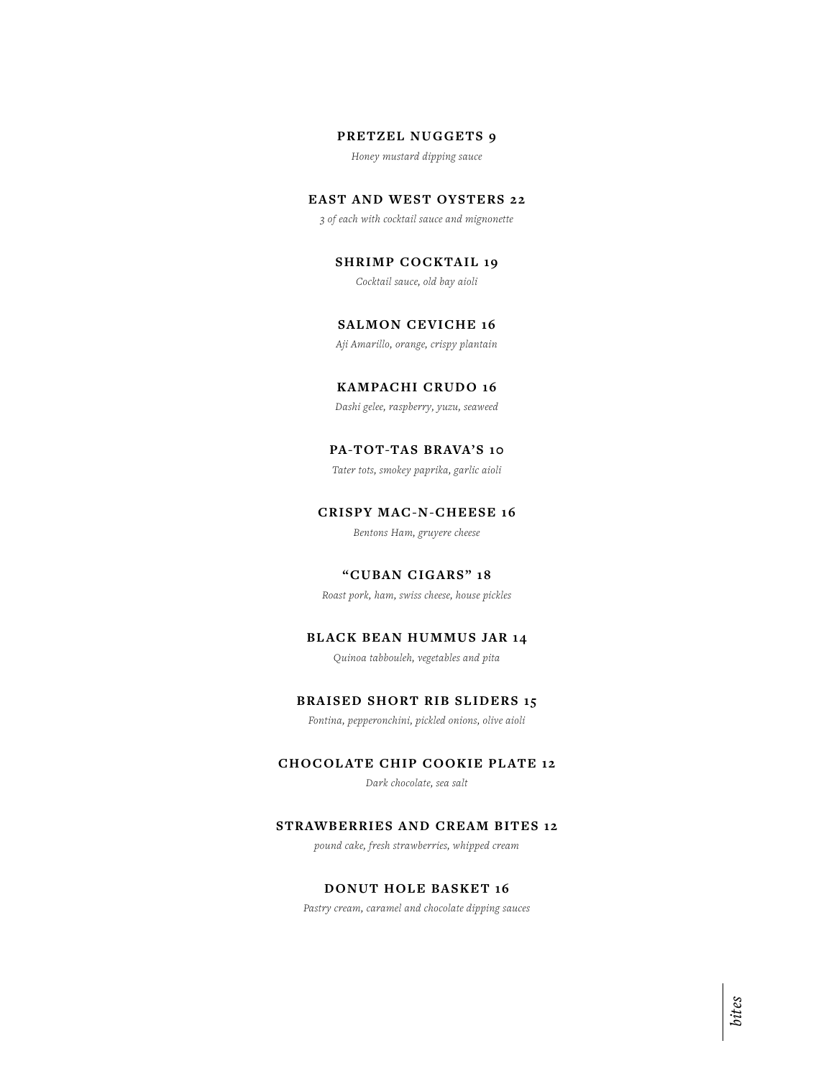#### **PRETZEL NUGGETS 9**

*Honey mustard dipping sauce*

# **EAST AND WEST OYSTERS 22**

*3 of each with cocktail sauce and mignonette*

**SHRIMP COCKTAIL 19**

*Cocktail sauce, old bay aioli*

## **SALMON CEVICHE 16**

*Aji Amarillo, orange, crispy plantain*

# **KAMPACHI CRUDO 16**

*Dashi gelee, raspberry, yuzu, seaweed*

# **PA-TOT-TAS BRAVA'S 10**

*Tater tots, smokey paprika, garlic aioli*

# **CRISPY MAC-N-CHEESE 16**

*Bentons Ham, gruyere cheese*

#### **"CUBAN CIGARS" 18**

*Roast pork, ham, swiss cheese, house pickles*

# **BLACK BEAN HUMMUS JAR 14**

*Quinoa tabbouleh, vegetables and pita*

#### **BRAISED SHORT RIB SLIDERS 15**

*Fontina, pepperonchini, pickled onions, olive aioli*

#### **CHOCOLATE CHIP COOKIE PLATE 12**

*Dark chocolate, sea salt*

## **STRAWBERRIES AND CREAM BITES 12**

*pound cake, fresh strawberries, whipped cream*

## **DONUT HOLE BASKET 16**

*Pastry cream, caramel and chocolate dipping sauces*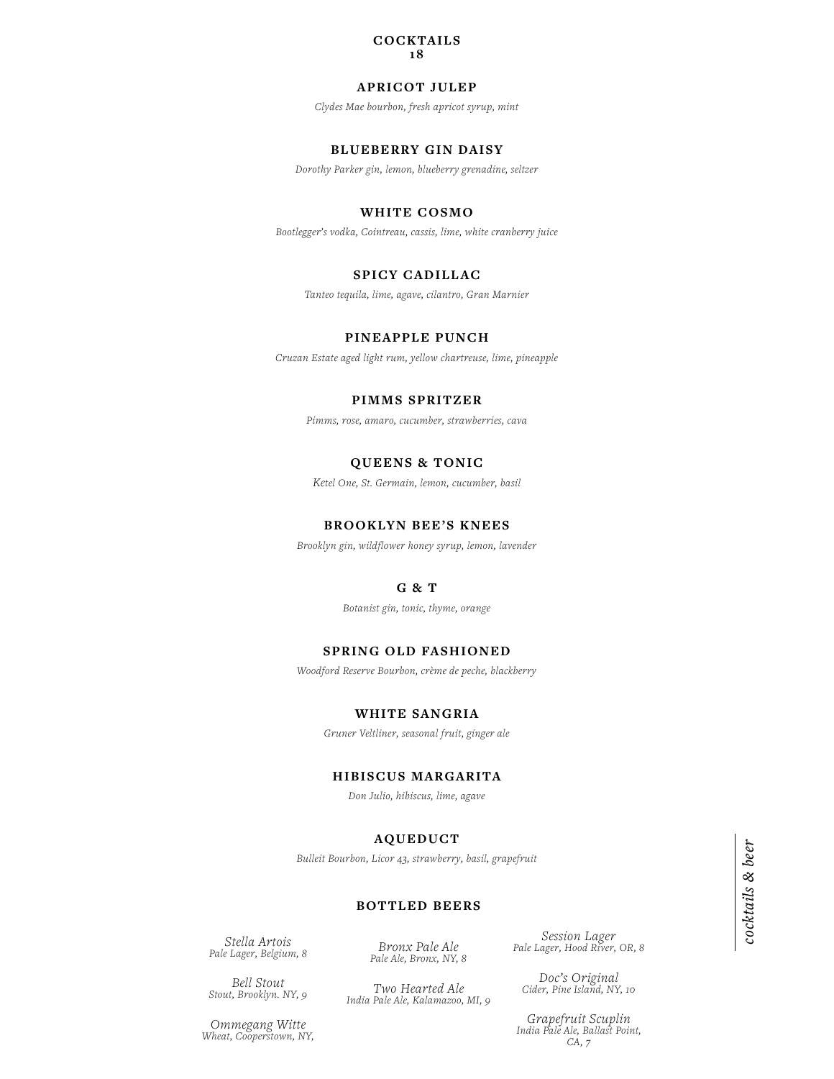#### **COCKTAILS 18**

#### **APRICOT JULEP**

*Clydes Mae bourbon, fresh apricot syrup, mint*

# **BLUEBERRY GIN DAISY**

*Dorothy Parker gin, lemon, blueberry grenadine, seltzer*

## **WHITE COSMO**

*Bootlegger's vodka, Cointreau, cassis, lime, white cranberry juice*

# **SPICY CADILLAC**

*Tanteo tequila, lime, agave, cilantro, Gran Marnier*

## **PINEAPPLE PUNCH**

*Cruzan Estate aged light rum, yellow chartreuse, lime, pineapple*

## **PIMMS SPRITZER**

*Pimms, rose, amaro, cucumber, strawberries, cava*

#### **QUEENS & TONIC**

*Ketel One, St. Germain, lemon, cucumber, basil*

#### **BROOKLYN BEE'S KNEES**

*Brooklyn gin, wildflower honey syrup, lemon, lavender*

# **G & T**

*Botanist gin, tonic, thyme, orange*

#### **SPRING OLD FASHIONED**

*Woodford Reserve Bourbon, crème de peche, blackberry*

## **WHITE SANGRIA**

*Gruner Veltliner, seasonal fruit, ginger ale*

#### **HIBISCUS MARGARITA**

*Don Julio, hibiscus, lime, agave*

## **AQUEDUCT**

*Bulleit Bourbon, Licor 43, strawberry, basil, grapefruit*

#### **BOTTLED BEERS**

*Stella Artois Pale Lager, Belgium, 8*

*Bronx Pale Ale Pale Ale, Bronx, NY, 8* *Session Lager Pale Lager, Hood River, OR, 8*

*Bell Stout Stout, Brooklyn. NY, 9*

*Ommegang Witte Wheat, Cooperstown, NY,* 

*Two Hearted Ale India Pale Ale, Kalamazoo, MI, 9* *Doc's Original Cider, Pine Island, NY, 10*

*Grapefruit Scuplin India Pale Ale, Ballast Point, CA, 7*